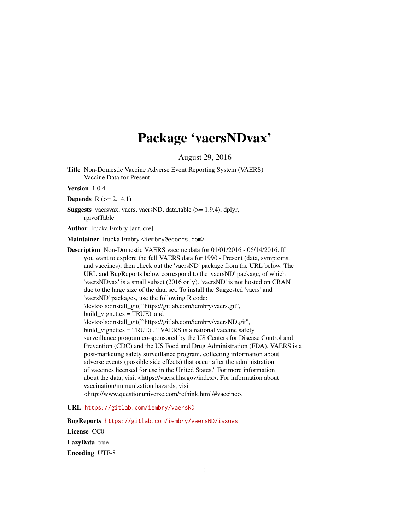## Package 'vaersNDvax'

August 29, 2016

Title Non-Domestic Vaccine Adverse Event Reporting System (VAERS) Vaccine Data for Present

Version 1.0.4

**Depends**  $R$  ( $>= 2.14.1$ )

Suggests vaersvax, vaers, vaersND, data.table (>= 1.9.4), dplyr, rpivotTable

Author Irucka Embry [aut, cre]

Maintainer Irucka Embry <iembry@ecoccs.com>

Description Non-Domestic VAERS vaccine data for 01/01/2016 - 06/14/2016. If you want to explore the full VAERS data for 1990 - Present (data, symptoms, and vaccines), then check out the 'vaersND' package from the URL below. The URL and BugReports below correspond to the 'vaersND' package, of which 'vaersNDvax' is a small subset (2016 only). 'vaersND' is not hosted on CRAN due to the large size of the data set. To install the Suggested 'vaers' and 'vaersND' packages, use the following R code: 'devtools::install\_git(``https://gitlab.com/iembry/vaers.git'', build\_vignettes = TRUE)' and 'devtools::install\_git(``https://gitlab.com/iembry/vaersND.git'', build vignettes = TRUE)'. ``VAERS is a national vaccine safety surveillance program co-sponsored by the US Centers for Disease Control and Prevention (CDC) and the US Food and Drug Administration (FDA). VAERS is a post-marketing safety surveillance program, collecting information about adverse events (possible side effects) that occur after the administration of vaccines licensed for use in the United States.'' For more information about the data, visit <https://vaers.hhs.gov/index>. For information about vaccination/immunization hazards, visit <http://www.questionuniverse.com/rethink.html/#vaccine>.

#### URL <https://gitlab.com/iembry/vaersND>

BugReports <https://gitlab.com/iembry/vaersND/issues> License CC0 LazyData true Encoding UTF-8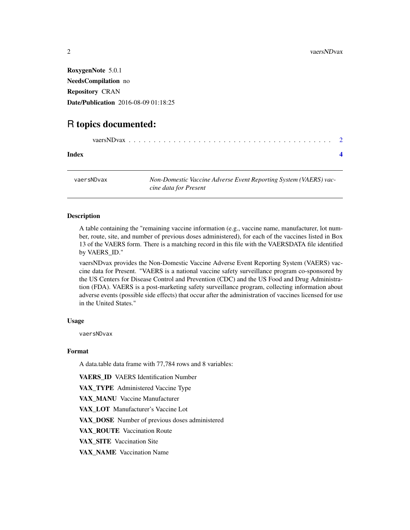<span id="page-1-0"></span>RoxygenNote 5.0.1 NeedsCompilation no Repository CRAN Date/Publication 2016-08-09 01:18:25

### R topics documented:

| Index |  |
|-------|--|
|       |  |

vaersNDvax *Non-Domestic Vaccine Adverse Event Reporting System (VAERS) vaccine data for Present*

#### Description

A table containing the "remaining vaccine information (e.g., vaccine name, manufacturer, lot number, route, site, and number of previous doses administered), for each of the vaccines listed in Box 13 of the VAERS form. There is a matching record in this file with the VAERSDATA file identified by VAERS\_ID."

vaersNDvax provides the Non-Domestic Vaccine Adverse Event Reporting System (VAERS) vaccine data for Present. "VAERS is a national vaccine safety surveillance program co-sponsored by the US Centers for Disease Control and Prevention (CDC) and the US Food and Drug Administration (FDA). VAERS is a post-marketing safety surveillance program, collecting information about adverse events (possible side effects) that occur after the administration of vaccines licensed for use in the United States."

#### Usage

vaersNDvax

#### Format

A data.table data frame with 77,784 rows and 8 variables:

VAERS ID VAERS Identification Number

VAX\_TYPE Administered Vaccine Type

VAX\_MANU Vaccine Manufacturer

VAX LOT Manufacturer's Vaccine Lot

VAX\_DOSE Number of previous doses administered

VAX\_ROUTE Vaccination Route

VAX\_SITE Vaccination Site

VAX\_NAME Vaccination Name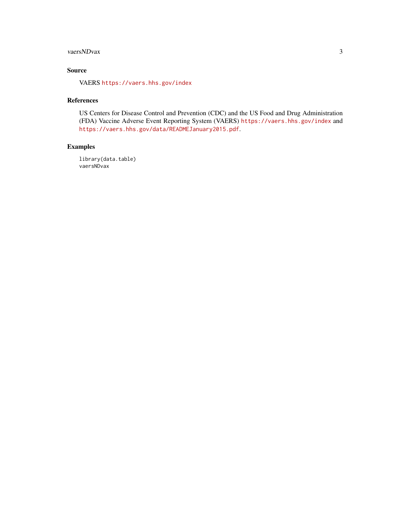#### vaersNDvax 3

#### Source

VAERS <https://vaers.hhs.gov/index>

#### References

US Centers for Disease Control and Prevention (CDC) and the US Food and Drug Administration (FDA) Vaccine Adverse Event Reporting System (VAERS) <https://vaers.hhs.gov/index> and <https://vaers.hhs.gov/data/READMEJanuary2015.pdf>.

#### Examples

library(data.table) vaersNDvax